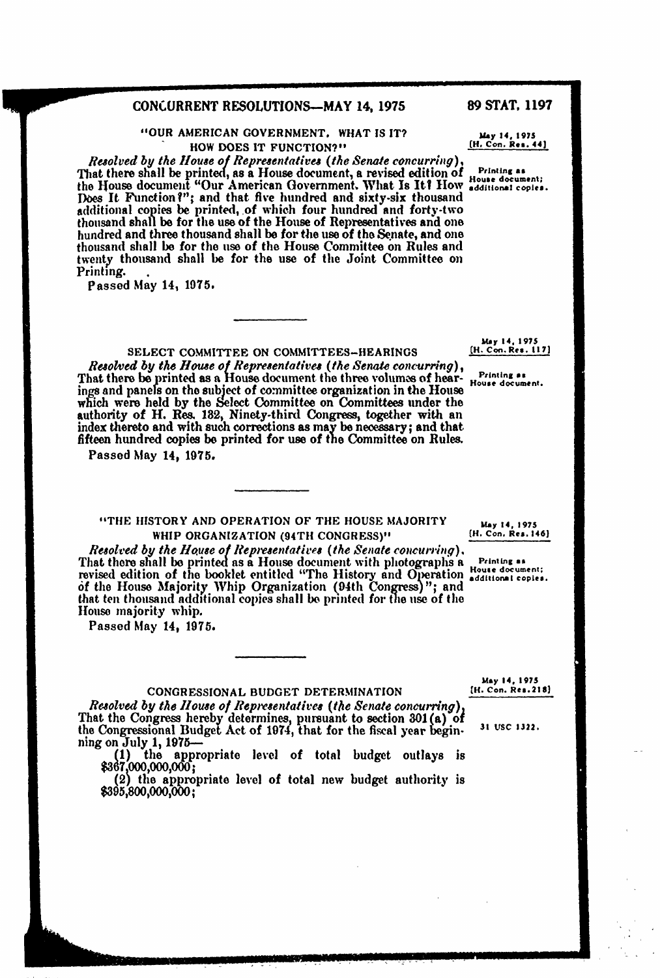## **CONCURRENT** RESOLUTIONS-MAY **14, 1975 89 STAT, 1197**

"OUR **AMERICAN GOVERNMENT.** WHAT **IS** IT? **uay 14, 197s HOW DOES IT FUNCTION?"** [H. Con. Res. 44]

*Resolved by the House of Representatives* (the *Senate concurring),* That there shall be printed, as a House document, a revised edition **of Prinng as** the House document "Our American Government. What Is It? How additional copi Does It Function?"; and that five hundred and sixty-six thousand additional copies be printed, of which four hundred and forty-two thousand shall be for the use of the House of Representatives and one hundred and three thousand shall **be** for the use of the Senate, and one thousand shall **be** for the use of the House Committee on Rules and twenty thousand shall be for the use of the Joint Committee on Printing.

Passed May 14, **1075.**

**mm**

**SELECT COMMITTEE ON COMMITTEES-HEARINGS** Resolved by the House of Representatives (the Senate concurring),<br>That there be printed as a House document the three volumes of hear-House document. I have the to be princed as a riouse decument the three volumes of hear-<br>ings and panels on the subject of committee organization in the House<br>which were held by the Select Committee on Committees under the authority of H. Res. 182, Ninety-third Congress, together with an index thereto and with such corrections as may **be** necessary; and that fifteen hundred copies be printed for use of the Committee on Rules.

Passed May 14, **1975.**

"THE HISTORY **AND** OPERATION OF THE **HOUSE** MAJORITY **May 14, 1975 WHIP ORGANIZATION (94TH CONGRESS)"** 

*Resolved by the House of Representatives (the Senate concurring).* That there shall be printed as a House document with photographs a representatives revised edition of the booklet entitled "The History and Operation **additional** copies. *of* the **House** Majority Whip Organization (04th Congress) **";** and that ten thousand additional copies shall **be** printed for the **use** of the House majority whip.

Passed May 14, **1975.**

**May 14.** *1975* **CH. Con. Res.218)**

**CONGRESSIONAL BUDGET DETERMINATION** *Resolved by the House of Representatives (the Senate concurring),* That the Congress hereby determines, pursuant to section **301(a)** of the Congressional Budget Act of 1974, that for the fiscal year begin- ning on July **1, 1975- 31 VSC 1322.**

ning on July 1, 1975<sup>-1</sup><br>
(1) the appropriate level of total budget outlays is<br>
\$367,000,000,000;

(2) the appropriate level of total new budget authority is **\$395,800,000,000;**

**May 14, 1975**<br>[H. Con. Res. 117]